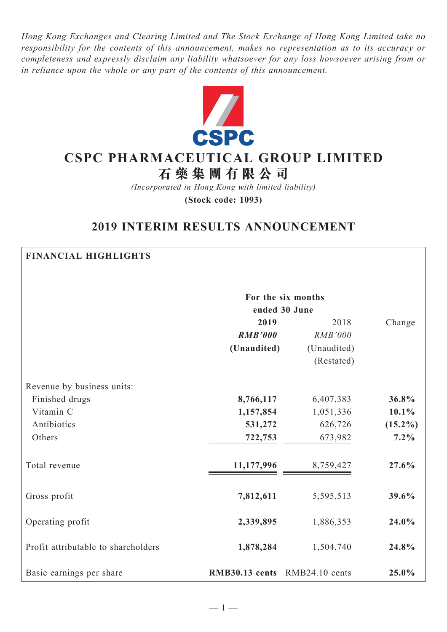*Hong Kong Exchanges and Clearing Limited and The Stock Exchange of Hong Kong Limited take no responsibility for the contents of this announcement, makes no representation as to its accuracy or completeness and expressly disclaim any liability whatsoever for any loss howsoever arising from or in reliance upon the whole or any part of the contents of this announcement.*



# **CSPC Pharmaceutical Group Limited**

**石 藥 集 團 有 限 公 司**

*(Incorporated in Hong Kong with limited liability)* **(Stock code: 1093)**

## **2019 INTERIM RESULTS ANNOUNCEMENT**

## **Financial Highlights**

|                                     | For the six months            |                |            |  |  |
|-------------------------------------|-------------------------------|----------------|------------|--|--|
|                                     | ended 30 June                 |                |            |  |  |
|                                     | 2019                          | 2018           | Change     |  |  |
|                                     | <b>RMB'000</b>                | <b>RMB'000</b> |            |  |  |
|                                     | (Unaudited)                   | (Unaudited)    |            |  |  |
|                                     |                               | (Restated)     |            |  |  |
| Revenue by business units:          |                               |                |            |  |  |
| Finished drugs                      | 8,766,117                     | 6,407,383      | 36.8%      |  |  |
| Vitamin C                           | 1,157,854                     | 1,051,336      | $10.1\%$   |  |  |
| Antibiotics                         | 531,272                       | 626,726        | $(15.2\%)$ |  |  |
| Others                              | 722,753                       | 673,982        | $7.2\%$    |  |  |
| Total revenue                       | 11,177,996                    | 8,759,427      | 27.6%      |  |  |
| Gross profit                        | 7,812,611                     | 5,595,513      | 39.6%      |  |  |
| Operating profit                    | 2,339,895                     | 1,886,353      | 24.0%      |  |  |
| Profit attributable to shareholders | 1,878,284                     | 1,504,740      | 24.8%      |  |  |
| Basic earnings per share            | RMB30.13 cents RMB24.10 cents |                | $25.0\%$   |  |  |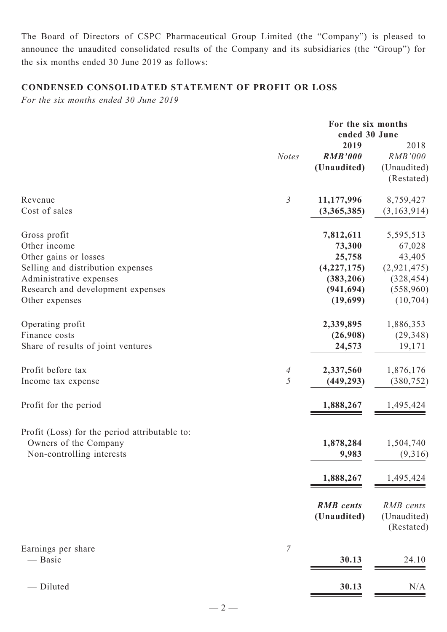The Board of Directors of CSPC Pharmaceutical Group Limited (the "Company") is pleased to announce the unaudited consolidated results of the Company and its subsidiaries (the "Group") for the six months ended 30 June 2019 as follows:

## **CONDENSED CONSOLIDATED Statement of Profit or Loss**

*For the six months ended 30 June 2019*

|                                                                                                                                                                              | For the six months<br>ended 30 June |                                                                                        |                                                                                      |  |
|------------------------------------------------------------------------------------------------------------------------------------------------------------------------------|-------------------------------------|----------------------------------------------------------------------------------------|--------------------------------------------------------------------------------------|--|
|                                                                                                                                                                              | <b>Notes</b>                        | 2019<br><b>RMB'000</b><br>(Unaudited)                                                  | 2018<br><b>RMB'000</b><br>(Unaudited)<br>(Restated)                                  |  |
| Revenue<br>Cost of sales                                                                                                                                                     | $\mathfrak{Z}$                      | 11,177,996<br>(3,365,385)                                                              | 8,759,427<br>(3,163,914)                                                             |  |
| Gross profit<br>Other income<br>Other gains or losses<br>Selling and distribution expenses<br>Administrative expenses<br>Research and development expenses<br>Other expenses |                                     | 7,812,611<br>73,300<br>25,758<br>(4, 227, 175)<br>(383, 206)<br>(941, 694)<br>(19,699) | 5,595,513<br>67,028<br>43,405<br>(2,921,475)<br>(328, 454)<br>(558,960)<br>(10, 704) |  |
| Operating profit<br>Finance costs<br>Share of results of joint ventures                                                                                                      |                                     | 2,339,895<br>(26,908)<br>24,573                                                        | 1,886,353<br>(29, 348)<br>19,171                                                     |  |
| Profit before tax<br>Income tax expense                                                                                                                                      | $\overline{A}$<br>5                 | 2,337,560<br>(449, 293)                                                                | 1,876,176<br>(380, 752)                                                              |  |
| Profit for the period                                                                                                                                                        |                                     | 1,888,267                                                                              | 1,495,424                                                                            |  |
| Profit (Loss) for the period attributable to:<br>Owners of the Company<br>Non-controlling interests                                                                          |                                     | 1,878,284<br>9,983                                                                     | 1,504,740<br>(9,316)                                                                 |  |
|                                                                                                                                                                              |                                     | 1,888,267<br><b>RMB</b> cents<br>(Unaudited)                                           | 1,495,424<br>RMB cents<br>(Unaudited)<br>(Restated)                                  |  |
| Earnings per share<br>— Basic                                                                                                                                                | $\overline{7}$                      | 30.13                                                                                  | 24.10                                                                                |  |
| - Diluted                                                                                                                                                                    |                                     | 30.13                                                                                  | N/A                                                                                  |  |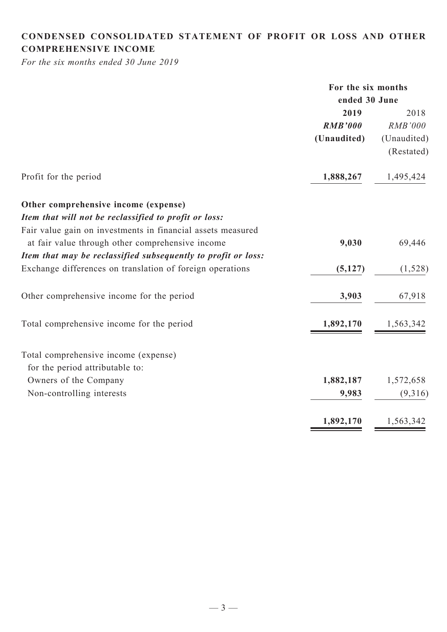## **CONDENSED CONSOLIDATED statement of Profit or Loss and Other comprehensive income**

*For the six months ended 30 June 2019*

|                                                               | For the six months |                |
|---------------------------------------------------------------|--------------------|----------------|
|                                                               | ended 30 June      |                |
|                                                               | 2019               | 2018           |
|                                                               | <b>RMB'000</b>     | <b>RMB'000</b> |
|                                                               | (Unaudited)        | (Unaudited)    |
|                                                               |                    | (Restated)     |
| Profit for the period                                         | 1,888,267          | 1,495,424      |
| Other comprehensive income (expense)                          |                    |                |
| Item that will not be reclassified to profit or loss:         |                    |                |
| Fair value gain on investments in financial assets measured   |                    |                |
| at fair value through other comprehensive income              | 9,030              | 69,446         |
| Item that may be reclassified subsequently to profit or loss: |                    |                |
| Exchange differences on translation of foreign operations     | (5,127)            | (1,528)        |
| Other comprehensive income for the period                     | 3,903              | 67,918         |
| Total comprehensive income for the period                     | 1,892,170          | 1,563,342      |
| Total comprehensive income (expense)                          |                    |                |
| for the period attributable to:                               |                    |                |
| Owners of the Company                                         | 1,882,187          | 1,572,658      |
| Non-controlling interests                                     | 9,983              | (9,316)        |
|                                                               | 1,892,170          | 1,563,342      |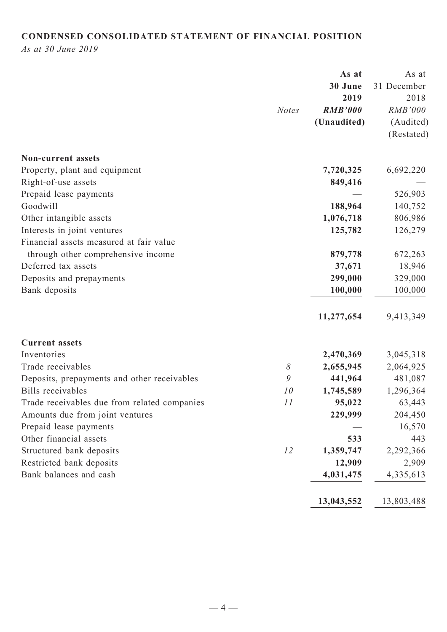## **CONDENSED CONSOLIDATED STATEMENT OF FINANCIAL POSITION**

*As at 30 June 2019*

|                                              |              | As at          | As at          |
|----------------------------------------------|--------------|----------------|----------------|
|                                              |              | 30 June        | 31 December    |
|                                              |              | 2019           | 2018           |
|                                              | <b>Notes</b> | <b>RMB'000</b> | <b>RMB'000</b> |
|                                              |              | (Unaudited)    | (Audited)      |
|                                              |              |                | (Restated)     |
| Non-current assets                           |              |                |                |
| Property, plant and equipment                |              | 7,720,325      | 6,692,220      |
| Right-of-use assets                          |              | 849,416        |                |
| Prepaid lease payments                       |              |                | 526,903        |
| Goodwill                                     |              | 188,964        | 140,752        |
| Other intangible assets                      |              | 1,076,718      | 806,986        |
| Interests in joint ventures                  |              | 125,782        | 126,279        |
| Financial assets measured at fair value      |              |                |                |
| through other comprehensive income           |              | 879,778        | 672,263        |
| Deferred tax assets                          |              | 37,671         | 18,946         |
| Deposits and prepayments                     |              | 299,000        | 329,000        |
| Bank deposits                                |              | 100,000        | 100,000        |
|                                              |              | 11,277,654     | 9,413,349      |
| <b>Current assets</b>                        |              |                |                |
| Inventories                                  |              | 2,470,369      | 3,045,318      |
| Trade receivables                            | $\delta$     | 2,655,945      | 2,064,925      |
| Deposits, prepayments and other receivables  | 9            | 441,964        | 481,087        |
| <b>Bills</b> receivables                     | 10           | 1,745,589      | 1,296,364      |
| Trade receivables due from related companies | 11           | 95,022         | 63,443         |
| Amounts due from joint ventures              |              | 229,999        | 204,450        |
| Prepaid lease payments                       |              |                | 16,570         |
| Other financial assets                       |              | 533            | 443            |
| Structured bank deposits                     | 12           | 1,359,747      | 2,292,366      |
| Restricted bank deposits                     |              | 12,909         | 2,909          |
| Bank balances and cash                       |              | 4,031,475      | 4,335,613      |
|                                              |              | 13,043,552     | 13,803,488     |
|                                              |              |                |                |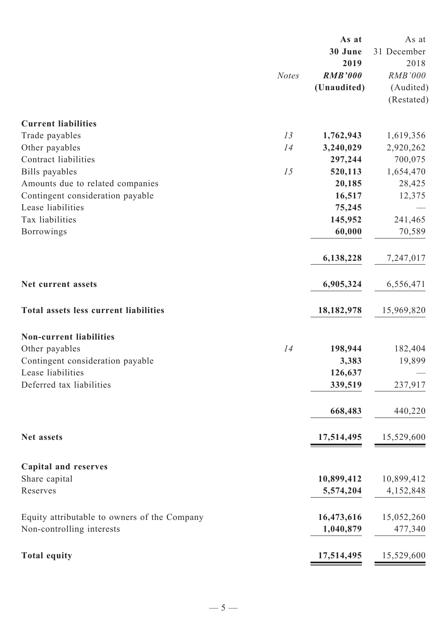|                                              |              | As at          | As at          |
|----------------------------------------------|--------------|----------------|----------------|
|                                              |              | 30 June        | 31 December    |
|                                              |              | 2019           | 2018           |
|                                              | <b>Notes</b> | <b>RMB'000</b> | <b>RMB'000</b> |
|                                              |              | (Unaudited)    | (Audited)      |
|                                              |              |                | (Restated)     |
| <b>Current liabilities</b>                   |              |                |                |
| Trade payables                               | 13           | 1,762,943      | 1,619,356      |
| Other payables                               | 14           | 3,240,029      | 2,920,262      |
| Contract liabilities                         |              | 297,244        | 700,075        |
| Bills payables                               | 15           | 520,113        | 1,654,470      |
| Amounts due to related companies             |              | 20,185         | 28,425         |
| Contingent consideration payable             |              | 16,517         | 12,375         |
| Lease liabilities                            |              | 75,245         |                |
| Tax liabilities                              |              | 145,952        | 241,465        |
| Borrowings                                   |              | 60,000         | 70,589         |
|                                              |              | 6,138,228      | 7,247,017      |
| Net current assets                           |              | 6,905,324      | 6,556,471      |
|                                              |              |                |                |
| Total assets less current liabilities        |              | 18,182,978     | 15,969,820     |
| <b>Non-current liabilities</b>               |              |                |                |
| Other payables                               | 14           | 198,944        | 182,404        |
| Contingent consideration payable             |              | 3,383          | 19,899         |
| Lease liabilities                            |              | 126,637        |                |
| Deferred tax liabilities                     |              | 339,519        | 237,917        |
|                                              |              | 668,483        | 440,220        |
| Net assets                                   |              | 17,514,495     | 15,529,600     |
|                                              |              |                |                |
| <b>Capital and reserves</b>                  |              |                |                |
| Share capital                                |              | 10,899,412     | 10,899,412     |
| Reserves                                     |              | 5,574,204      | 4,152,848      |
| Equity attributable to owners of the Company |              | 16,473,616     | 15,052,260     |
| Non-controlling interests                    |              | 1,040,879      | 477,340        |
| <b>Total equity</b>                          |              | 17,514,495     | 15,529,600     |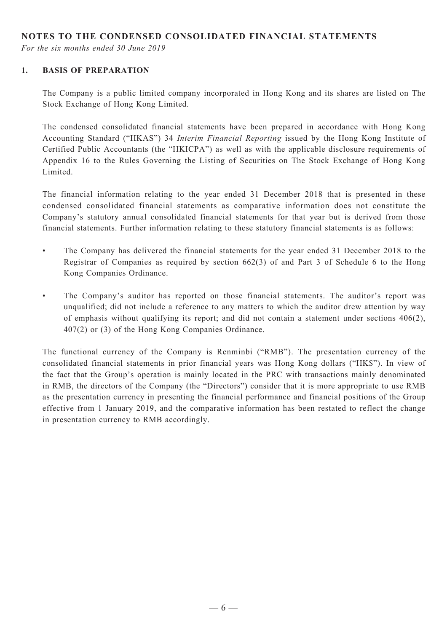## **NOTES TO THE CONDENSED CONSOLIDATED FINANCIAL STATEMENTS**

*For the six months ended 30 June 2019*

### **1. BASIS OF PREPARATION**

The Company is a public limited company incorporated in Hong Kong and its shares are listed on The Stock Exchange of Hong Kong Limited.

The condensed consolidated financial statements have been prepared in accordance with Hong Kong Accounting Standard ("HKAS") 34 *Interim Financial Reporting* issued by the Hong Kong Institute of Certified Public Accountants (the "HKICPA") as well as with the applicable disclosure requirements of Appendix 16 to the Rules Governing the Listing of Securities on The Stock Exchange of Hong Kong Limited.

The financial information relating to the year ended 31 December 2018 that is presented in these condensed consolidated financial statements as comparative information does not constitute the Company's statutory annual consolidated financial statements for that year but is derived from those financial statements. Further information relating to these statutory financial statements is as follows:

- The Company has delivered the financial statements for the year ended 31 December 2018 to the Registrar of Companies as required by section 662(3) of and Part 3 of Schedule 6 to the Hong Kong Companies Ordinance.
- The Company's auditor has reported on those financial statements. The auditor's report was unqualified; did not include a reference to any matters to which the auditor drew attention by way of emphasis without qualifying its report; and did not contain a statement under sections 406(2), 407(2) or (3) of the Hong Kong Companies Ordinance.

The functional currency of the Company is Renminbi ("RMB"). The presentation currency of the consolidated financial statements in prior financial years was Hong Kong dollars ("HK\$"). In view of the fact that the Group's operation is mainly located in the PRC with transactions mainly denominated in RMB, the directors of the Company (the "Directors") consider that it is more appropriate to use RMB as the presentation currency in presenting the financial performance and financial positions of the Group effective from 1 January 2019, and the comparative information has been restated to reflect the change in presentation currency to RMB accordingly.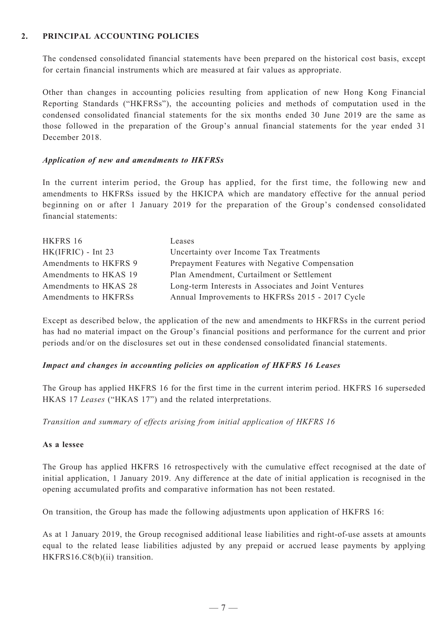#### **2. PRINCIPAL ACCOUNTING POLICIES**

The condensed consolidated financial statements have been prepared on the historical cost basis, except for certain financial instruments which are measured at fair values as appropriate.

Other than changes in accounting policies resulting from application of new Hong Kong Financial Reporting Standards ("HKFRSs"), the accounting policies and methods of computation used in the condensed consolidated financial statements for the six months ended 30 June 2019 are the same as those followed in the preparation of the Group's annual financial statements for the year ended 31 December 2018.

#### *Application of new and amendments to HKFRSs*

In the current interim period, the Group has applied, for the first time, the following new and amendments to HKFRSs issued by the HKICPA which are mandatory effective for the annual period beginning on or after 1 January 2019 for the preparation of the Group's condensed consolidated financial statements:

| HKFRS 16              | Leases                                               |
|-----------------------|------------------------------------------------------|
| $HK(IFRIC) - Int 23$  | Uncertainty over Income Tax Treatments               |
| Amendments to HKFRS 9 | Prepayment Features with Negative Compensation       |
| Amendments to HKAS 19 | Plan Amendment, Curtailment or Settlement            |
| Amendments to HKAS 28 | Long-term Interests in Associates and Joint Ventures |
| Amendments to HKFRSs  | Annual Improvements to HKFRSs 2015 - 2017 Cycle      |

Except as described below, the application of the new and amendments to HKFRSs in the current period has had no material impact on the Group's financial positions and performance for the current and prior periods and/or on the disclosures set out in these condensed consolidated financial statements.

#### *Impact and changes in accounting policies on application of HKFRS 16 Leases*

The Group has applied HKFRS 16 for the first time in the current interim period. HKFRS 16 superseded HKAS 17 *Leases* ("HKAS 17") and the related interpretations.

*Transition and summary of effects arising from initial application of HKFRS 16*

#### **As a lessee**

The Group has applied HKFRS 16 retrospectively with the cumulative effect recognised at the date of initial application, 1 January 2019. Any difference at the date of initial application is recognised in the opening accumulated profits and comparative information has not been restated.

On transition, the Group has made the following adjustments upon application of HKFRS 16:

As at 1 January 2019, the Group recognised additional lease liabilities and right-of-use assets at amounts equal to the related lease liabilities adjusted by any prepaid or accrued lease payments by applying HKFRS16.C8(b)(ii) transition.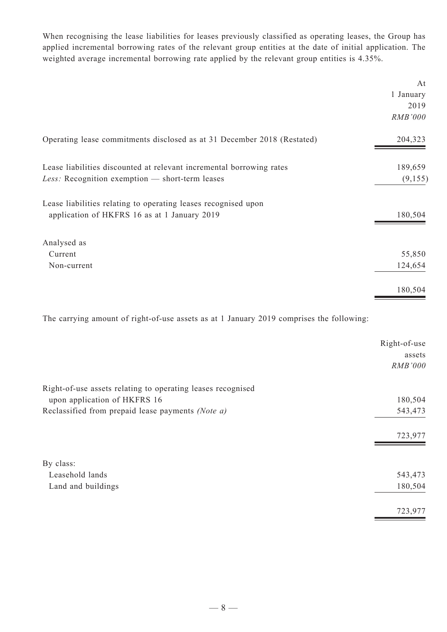When recognising the lease liabilities for leases previously classified as operating leases, the Group has applied incremental borrowing rates of the relevant group entities at the date of initial application. The weighted average incremental borrowing rate applied by the relevant group entities is 4.35%.

|                                                                                                                         | At<br>1 January<br>2019<br><b>RMB'000</b> |
|-------------------------------------------------------------------------------------------------------------------------|-------------------------------------------|
| Operating lease commitments disclosed as at 31 December 2018 (Restated)                                                 | 204,323                                   |
| Lease liabilities discounted at relevant incremental borrowing rates<br>Less: Recognition exemption — short-term leases | 189,659<br>(9, 155)                       |
| Lease liabilities relating to operating leases recognised upon<br>application of HKFRS 16 as at 1 January 2019          | 180,504                                   |
| Analysed as                                                                                                             |                                           |
| Current<br>Non-current                                                                                                  | 55,850<br>124,654                         |
|                                                                                                                         | 180,504                                   |

The carrying amount of right-of-use assets as at 1 January 2019 comprises the following:

|                                                             | Right-of-use |
|-------------------------------------------------------------|--------------|
|                                                             | assets       |
|                                                             | RMB'000      |
| Right-of-use assets relating to operating leases recognised |              |
| upon application of HKFRS 16                                | 180,504      |
| Reclassified from prepaid lease payments (Note a)           | 543,473      |
|                                                             | 723,977      |
| By class:                                                   |              |
| Leasehold lands                                             | 543,473      |
| Land and buildings                                          | 180,504      |
|                                                             | 723,977      |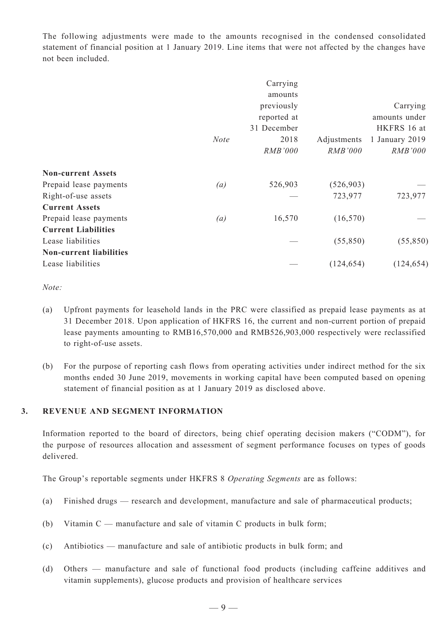The following adjustments were made to the amounts recognised in the condensed consolidated statement of financial position at 1 January 2019. Line items that were not affected by the changes have not been included.

|                                |                  | Carrying       |             |                |
|--------------------------------|------------------|----------------|-------------|----------------|
|                                |                  | amounts        |             |                |
|                                |                  | previously     |             | Carrying       |
|                                |                  | reported at    |             | amounts under  |
|                                |                  | 31 December    |             | HKFRS 16 at    |
|                                | <b>Note</b>      | 2018           | Adjustments | 1 January 2019 |
|                                |                  | <b>RMB'000</b> | RMB'000     | <i>RMB'000</i> |
| <b>Non-current Assets</b>      |                  |                |             |                |
| Prepaid lease payments         | (a)              | 526,903        | (526, 903)  |                |
| Right-of-use assets            |                  |                | 723,977     | 723,977        |
| <b>Current Assets</b>          |                  |                |             |                |
| Prepaid lease payments         | $\left(a\right)$ | 16,570         | (16, 570)   |                |
| <b>Current Liabilities</b>     |                  |                |             |                |
| Lease liabilities              |                  |                | (55, 850)   | (55, 850)      |
| <b>Non-current liabilities</b> |                  |                |             |                |
| Lease liabilities              |                  |                | (124, 654)  | (124, 654)     |

*Note:*

- (a) Upfront payments for leasehold lands in the PRC were classified as prepaid lease payments as at 31 December 2018. Upon application of HKFRS 16, the current and non-current portion of prepaid lease payments amounting to RMB16,570,000 and RMB526,903,000 respectively were reclassified to right-of-use assets.
- (b) For the purpose of reporting cash flows from operating activities under indirect method for the six months ended 30 June 2019, movements in working capital have been computed based on opening statement of financial position as at 1 January 2019 as disclosed above.

## **3. Revenue and SEGMENT INFORMATION**

Information reported to the board of directors, being chief operating decision makers ("CODM"), for the purpose of resources allocation and assessment of segment performance focuses on types of goods delivered.

The Group's reportable segments under HKFRS 8 *Operating Segments* are as follows:

- (a) Finished drugs research and development, manufacture and sale of pharmaceutical products;
- (b) Vitamin C manufacture and sale of vitamin C products in bulk form;
- (c) Antibiotics manufacture and sale of antibiotic products in bulk form; and
- (d) Others manufacture and sale of functional food products (including caffeine additives and vitamin supplements), glucose products and provision of healthcare services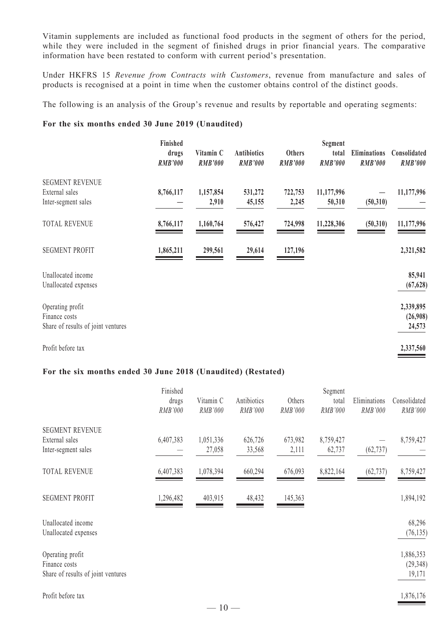Vitamin supplements are included as functional food products in the segment of others for the period, while they were included in the segment of finished drugs in prior financial years. The comparative information have been restated to conform with current period's presentation.

Under HKFRS 15 *Revenue from Contracts with Customers*, revenue from manufacture and sales of products is recognised at a point in time when the customer obtains control of the distinct goods.

The following is an analysis of the Group's revenue and results by reportable and operating segments:

#### **For the six months ended 30 June 2019 (Unaudited)**

|                                                                         | Finished<br>drugs<br><b>RMB'000</b> | Vitamin C<br><b>RMB'000</b> | <b>Antibiotics</b><br><b>RMB'000</b> | <b>Others</b><br><b>RMB'000</b> | Segment<br>total<br><b>RMB'000</b> | Eliminations<br><b>RMB'000</b> | Consolidated<br><b>RMB'000</b>  |
|-------------------------------------------------------------------------|-------------------------------------|-----------------------------|--------------------------------------|---------------------------------|------------------------------------|--------------------------------|---------------------------------|
| <b>SEGMENT REVENUE</b><br>External sales<br>Inter-segment sales         | 8,766,117                           | 1,157,854<br>2,910          | 531,272<br>45,155                    | 722,753<br>2,245                | 11,177,996<br>50,310               | (50,310)                       | 11,177,996                      |
| <b>TOTAL REVENUE</b>                                                    | 8,766,117                           | 1,160,764                   | 576,427                              | 724,998                         | 11,228,306                         | (50,310)                       | 11,177,996                      |
| <b>SEGMENT PROFIT</b>                                                   | 1,865,211                           | 299,561                     | 29,614                               | 127,196                         |                                    |                                | 2,321,582                       |
| Unallocated income<br>Unallocated expenses                              |                                     |                             |                                      |                                 |                                    |                                | 85,941<br>(67, 628)             |
| Operating profit<br>Finance costs<br>Share of results of joint ventures |                                     |                             |                                      |                                 |                                    |                                | 2,339,895<br>(26,908)<br>24,573 |
| Profit before tax                                                       |                                     |                             |                                      |                                 |                                    |                                | 2,337,560                       |

#### **For the six months ended 30 June 2018 (Unaudited) (Restated)**

|                                                                         | Finished<br>drugs<br>RMB'000 | Vitamin C<br>RMB'000 | Antibiotics<br>RMB'000 | Others<br>RMB'000 | Segment<br>total<br>RMB'000 | Eliminations<br>RMB'000 | Consolidated<br>RMB'000          |
|-------------------------------------------------------------------------|------------------------------|----------------------|------------------------|-------------------|-----------------------------|-------------------------|----------------------------------|
| <b>SEGMENT REVENUE</b><br>External sales<br>Inter-segment sales         | 6,407,383                    | 1,051,336<br>27,058  | 626,726<br>33,568      | 673,982<br>2,111  | 8,759,427<br>62,737         | (62, 737)               | 8,759,427                        |
| <b>TOTAL REVENUE</b>                                                    | 6,407,383                    | 1,078,394            | 660,294                | 676,093           | 8,822,164                   | (62, 737)               | 8,759,427                        |
| <b>SEGMENT PROFIT</b>                                                   | 1,296,482                    | 403,915              | 48,432                 | 145,363           |                             |                         | 1,894,192                        |
| Unallocated income<br>Unallocated expenses                              |                              |                      |                        |                   |                             |                         | 68,296<br>(76, 135)              |
| Operating profit<br>Finance costs<br>Share of results of joint ventures |                              |                      |                        |                   |                             |                         | 1,886,353<br>(29, 348)<br>19,171 |
| Profit before tax                                                       |                              |                      |                        |                   |                             |                         | 1,876,176                        |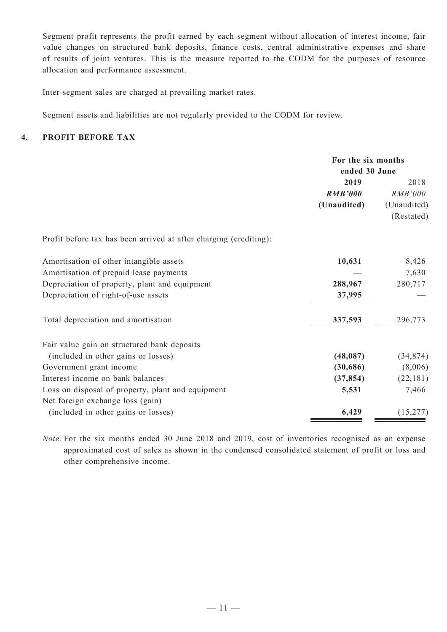Segment profit represents the profit earned by each segment without allocation of interest income, fair value changes on structured bank deposits, finance costs, central administrative expenses and share of results of joint ventures. This is the measure reported to the CODM for the purposes of resource allocation and performance assessment.

Inter-segment sales are charged at prevailing market rates.

Segment assets and liabilities are not regularly provided to the CODM for review.

## **4. PROFIT BEFORE TAX**

|                                                                   | For the six months<br>ended 30 June |             |  |
|-------------------------------------------------------------------|-------------------------------------|-------------|--|
|                                                                   | 2019                                | 2018        |  |
|                                                                   | <b>RMB'000</b>                      | RMB'000     |  |
|                                                                   | (Unaudited)                         | (Unaudited) |  |
|                                                                   |                                     | (Restated)  |  |
| Profit before tax has been arrived at after charging (crediting): |                                     |             |  |
| Amortisation of other intangible assets                           | 10,631                              | 8,426       |  |
| Amortisation of prepaid lease payments                            |                                     | 7,630       |  |
| Depreciation of property, plant and equipment                     | 288,967                             | 280,717     |  |
| Depreciation of right-of-use assets                               | 37,995                              |             |  |
| Total depreciation and amortisation                               | 337,593                             | 296,773     |  |
| Fair value gain on structured bank deposits                       |                                     |             |  |
| (included in other gains or losses)                               | (48,087)                            | (34, 874)   |  |
| Government grant income                                           | (30, 686)                           | (8,006)     |  |
| Interest income on bank balances                                  | (37, 854)                           | (22, 181)   |  |
| Loss on disposal of property, plant and equipment                 | 5,531                               | 7,466       |  |
| Net foreign exchange loss (gain)                                  |                                     |             |  |
| (included in other gains or losses)                               | 6,429                               | (15, 277)   |  |

*Note:* For the six months ended 30 June 2018 and 2019, cost of inventories recognised as an expense approximated cost of sales as shown in the condensed consolidated statement of profit or loss and other comprehensive income.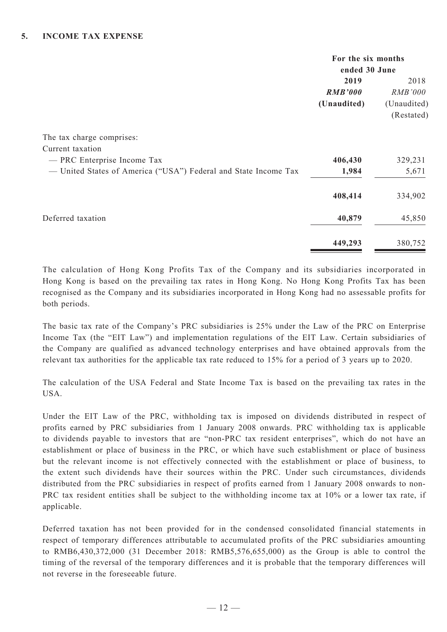|                                                                 | For the six months |             |
|-----------------------------------------------------------------|--------------------|-------------|
|                                                                 | ended 30 June      |             |
|                                                                 | 2019               | 2018        |
|                                                                 | <b>RMB'000</b>     | RMB'000     |
|                                                                 | (Unaudited)        | (Unaudited) |
|                                                                 |                    | (Restated)  |
| The tax charge comprises:                                       |                    |             |
| Current taxation                                                |                    |             |
| - PRC Enterprise Income Tax                                     | 406,430            | 329,231     |
| - United States of America ("USA") Federal and State Income Tax | 1,984              | 5,671       |
|                                                                 | 408,414            | 334,902     |
| Deferred taxation                                               | 40,879             | 45,850      |
|                                                                 | 449,293            | 380,752     |

The calculation of Hong Kong Profits Tax of the Company and its subsidiaries incorporated in Hong Kong is based on the prevailing tax rates in Hong Kong. No Hong Kong Profits Tax has been recognised as the Company and its subsidiaries incorporated in Hong Kong had no assessable profits for both periods.

The basic tax rate of the Company's PRC subsidiaries is 25% under the Law of the PRC on Enterprise Income Tax (the "EIT Law") and implementation regulations of the EIT Law. Certain subsidiaries of the Company are qualified as advanced technology enterprises and have obtained approvals from the relevant tax authorities for the applicable tax rate reduced to 15% for a period of 3 years up to 2020.

The calculation of the USA Federal and State Income Tax is based on the prevailing tax rates in the **IISA** 

Under the EIT Law of the PRC, withholding tax is imposed on dividends distributed in respect of profits earned by PRC subsidiaries from 1 January 2008 onwards. PRC withholding tax is applicable to dividends payable to investors that are "non-PRC tax resident enterprises", which do not have an establishment or place of business in the PRC, or which have such establishment or place of business but the relevant income is not effectively connected with the establishment or place of business, to the extent such dividends have their sources within the PRC. Under such circumstances, dividends distributed from the PRC subsidiaries in respect of profits earned from 1 January 2008 onwards to non-PRC tax resident entities shall be subject to the withholding income tax at 10% or a lower tax rate, if applicable.

Deferred taxation has not been provided for in the condensed consolidated financial statements in respect of temporary differences attributable to accumulated profits of the PRC subsidiaries amounting to RMB6,430,372,000 (31 December 2018: RMB5,576,655,000) as the Group is able to control the timing of the reversal of the temporary differences and it is probable that the temporary differences will not reverse in the foreseeable future.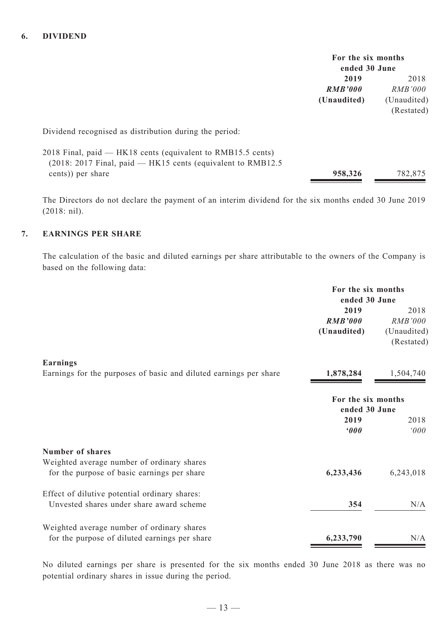|                                                               | For the six months<br>ended 30 June |                 |
|---------------------------------------------------------------|-------------------------------------|-----------------|
|                                                               | 2019                                | 2018            |
|                                                               | <b>RMB'000</b>                      | <i>RMB</i> '000 |
|                                                               | (Unaudited)                         | (Unaudited)     |
|                                                               |                                     | (Restated)      |
| Dividend recognised as distribution during the period:        |                                     |                 |
| 2018 Final, paid $-$ HK18 cents (equivalent to RMB15.5 cents) |                                     |                 |
| (2018: 2017 Final, paid — HK15 cents (equivalent to RMB12.5)  |                                     |                 |

The Directors do not declare the payment of an interim dividend for the six months ended 30 June 2019 (2018: nil).

cents)) per share **958,326** 782,875

#### **7. EARNINGS PER SHARE**

The calculation of the basic and diluted earnings per share attributable to the owners of the Company is based on the following data:

| For the six months<br>ended 30 June |                               |
|-------------------------------------|-------------------------------|
| 2019<br><b>RMB'000</b>              | 2018<br>RMB'000               |
| (Unaudited)                         | (Unaudited)<br>(Restated)     |
|                                     |                               |
|                                     | 1,504,740                     |
| For the six months<br>ended 30 June |                               |
| 2019<br>000                         | 2018<br>000                   |
|                                     |                               |
| 6,233,436                           | 6,243,018                     |
|                                     |                               |
|                                     | N/A                           |
|                                     | N/A                           |
|                                     | 1,878,284<br>354<br>6,233,790 |

No diluted earnings per share is presented for the six months ended 30 June 2018 as there was no potential ordinary shares in issue during the period.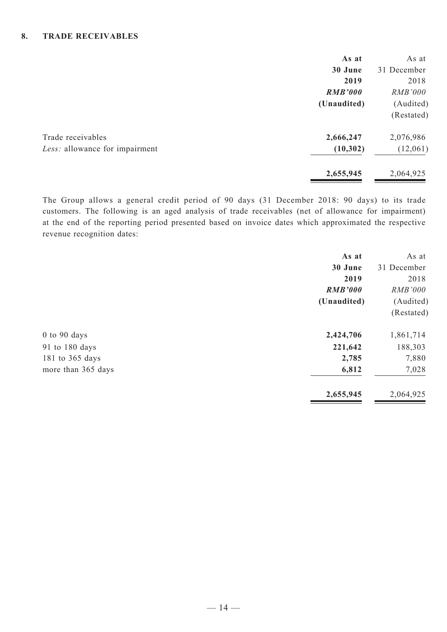#### **8. TRADE RECEIVABLES**

| As at          | As at          |
|----------------|----------------|
| 30 June        | 31 December    |
| 2019           | 2018           |
| <b>RMB'000</b> | <i>RMB'000</i> |
| (Unaudited)    | (Audited)      |
|                | (Restated)     |
| 2,666,247      | 2,076,986      |
| (10, 302)      | (12,061)       |
| 2,655,945      | 2,064,925      |
|                |                |

The Group allows a general credit period of 90 days (31 December 2018: 90 days) to its trade customers. The following is an aged analysis of trade receivables (net of allowance for impairment) at the end of the reporting period presented based on invoice dates which approximated the respective revenue recognition dates:

|                    | As at          | As at          |
|--------------------|----------------|----------------|
|                    | 30 June        | 31 December    |
|                    | 2019           | 2018           |
|                    | <b>RMB'000</b> | <i>RMB'000</i> |
|                    | (Unaudited)    | (Audited)      |
|                    |                | (Restated)     |
| $0$ to $90$ days   | 2,424,706      | 1,861,714      |
| 91 to 180 days     | 221,642        | 188,303        |
| 181 to 365 days    | 2,785          | 7,880          |
| more than 365 days | 6,812          | 7,028          |
|                    | 2,655,945      | 2,064,925      |
|                    |                |                |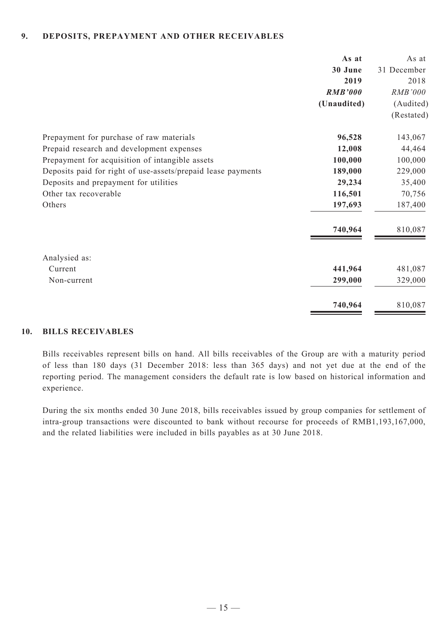#### **9. Deposits, prepayment and other receivables**

|                                                              | As at          | As at       |
|--------------------------------------------------------------|----------------|-------------|
|                                                              | 30 June        | 31 December |
|                                                              | 2019           | 2018        |
|                                                              | <b>RMB'000</b> | RMB'000     |
|                                                              | (Unaudited)    | (Audited)   |
|                                                              |                | (Restated)  |
| Prepayment for purchase of raw materials                     | 96,528         | 143,067     |
| Prepaid research and development expenses                    | 12,008         | 44,464      |
| Prepayment for acquisition of intangible assets              | 100,000        | 100,000     |
| Deposits paid for right of use-assets/prepaid lease payments | 189,000        | 229,000     |
| Deposits and prepayment for utilities                        | 29,234         | 35,400      |
| Other tax recoverable                                        | 116,501        | 70,756      |
| Others                                                       | 197,693        | 187,400     |
|                                                              | 740,964        | 810,087     |
| Analysied as:                                                |                |             |
| Current                                                      | 441,964        | 481,087     |
| Non-current                                                  | 299,000        | 329,000     |
|                                                              | 740,964        | 810,087     |

#### **10. BILLS RECEIVABLES**

Bills receivables represent bills on hand. All bills receivables of the Group are with a maturity period of less than 180 days (31 December 2018: less than 365 days) and not yet due at the end of the reporting period. The management considers the default rate is low based on historical information and experience.

During the six months ended 30 June 2018, bills receivables issued by group companies for settlement of intra-group transactions were discounted to bank without recourse for proceeds of RMB1,193,167,000, and the related liabilities were included in bills payables as at 30 June 2018.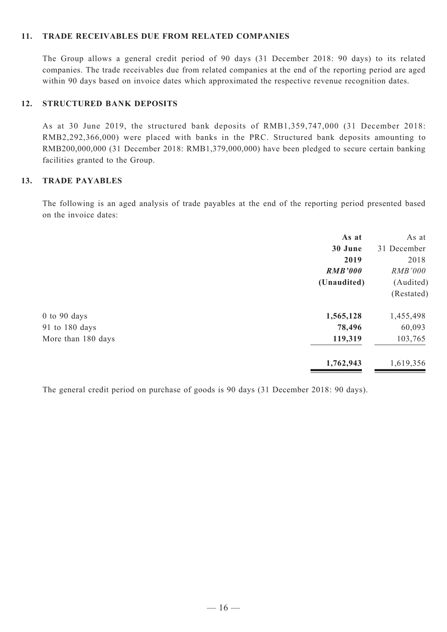#### **11. TRADE RECEIVABLES DUE FROM RELATED COMPANIES**

The Group allows a general credit period of 90 days (31 December 2018: 90 days) to its related companies. The trade receivables due from related companies at the end of the reporting period are aged within 90 days based on invoice dates which approximated the respective revenue recognition dates.

#### **12. STRUCTURED Bank DEPOSITS**

As at 30 June 2019, the structured bank deposits of RMB1,359,747,000 (31 December 2018: RMB2,292,366,000) were placed with banks in the PRC. Structured bank deposits amounting to RMB200,000,000 (31 December 2018: RMB1,379,000,000) have been pledged to secure certain banking facilities granted to the Group.

#### **13. TRADE PAYABLES**

The following is an aged analysis of trade payables at the end of the reporting period presented based on the invoice dates:

|                    | As at          | As at          |
|--------------------|----------------|----------------|
|                    | 30 June        | 31 December    |
|                    | 2019           | 2018           |
|                    | <b>RMB'000</b> | <b>RMB'000</b> |
|                    | (Unaudited)    | (Audited)      |
|                    |                | (Restated)     |
| $0$ to $90$ days   | 1,565,128      | 1,455,498      |
| 91 to 180 days     | 78,496         | 60,093         |
| More than 180 days | 119,319        | 103,765        |
|                    | 1,762,943      | 1,619,356      |

The general credit period on purchase of goods is 90 days (31 December 2018: 90 days).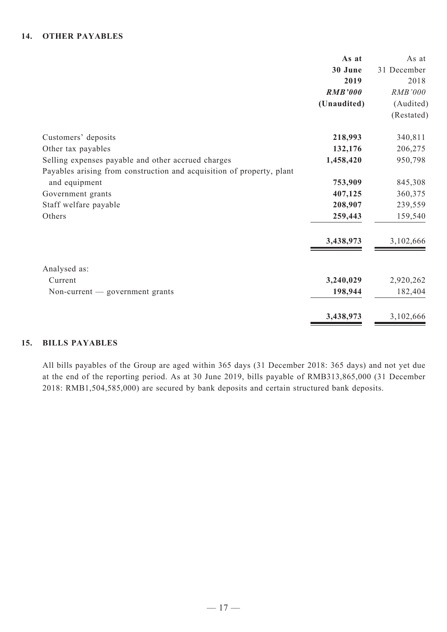#### **14. OTHER PAYABLES**

|                                                                       | As at          | As at       |
|-----------------------------------------------------------------------|----------------|-------------|
|                                                                       | 30 June        | 31 December |
|                                                                       | 2019           | 2018        |
|                                                                       | <b>RMB'000</b> | RMB'000     |
|                                                                       | (Unaudited)    | (Audited)   |
|                                                                       |                | (Restated)  |
| Customers' deposits                                                   | 218,993        | 340,811     |
| Other tax payables                                                    | 132,176        | 206,275     |
| Selling expenses payable and other accrued charges                    | 1,458,420      | 950,798     |
| Payables arising from construction and acquisition of property, plant |                |             |
| and equipment                                                         | 753,909        | 845,308     |
| Government grants                                                     | 407,125        | 360,375     |
| Staff welfare payable                                                 | 208,907        | 239,559     |
| Others                                                                | 259,443        | 159,540     |
|                                                                       | 3,438,973      | 3,102,666   |
| Analysed as:                                                          |                |             |
| Current                                                               | 3,240,029      | 2,920,262   |
|                                                                       |                |             |
| Non-current $-$ government grants                                     | 198,944        | 182,404     |
|                                                                       | 3,438,973      | 3,102,666   |

## **15. BILLS PAYABLES**

All bills payables of the Group are aged within 365 days (31 December 2018: 365 days) and not yet due at the end of the reporting period. As at 30 June 2019, bills payable of RMB313,865,000 (31 December 2018: RMB1,504,585,000) are secured by bank deposits and certain structured bank deposits.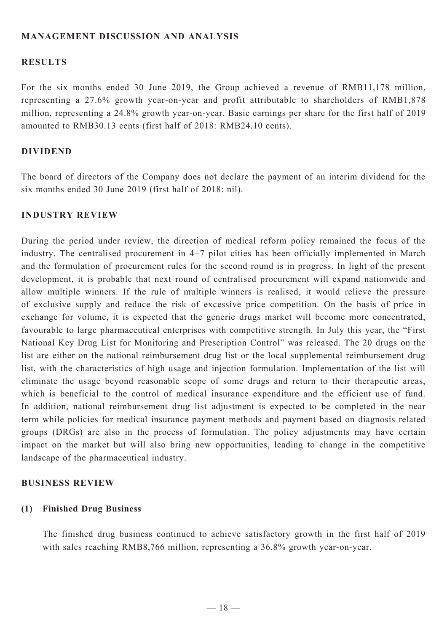### **MANAGEMENT DISCUSSION AND ANALYSIS**

#### **Results**

For the six months ended 30 June 2019, the Group achieved a revenue of RMB11,178 million, representing a 27.6% growth year-on-year and profit attributable to shareholders of RMB1,878 million, representing a 24.8% growth year-on-year. Basic earnings per share for the first half of 2019 amounted to RMB30.13 cents (first half of 2018: RMB24.10 cents).

#### **DIVIDEND**

The board of directors of the Company does not declare the payment of an interim dividend for the six months ended 30 June 2019 (first half of 2018: nil).

### **INDUSTRY REVIEW**

During the period under review, the direction of medical reform policy remained the focus of the industry. The centralised procurement in 4+7 pilot cities has been officially implemented in March and the formulation of procurement rules for the second round is in progress. In light of the present development, it is probable that next round of centralised procurement will expand nationwide and allow multiple winners. If the rule of multiple winners is realised, it would relieve the pressure of exclusive supply and reduce the risk of excessive price competition. On the basis of price in exchange for volume, it is expected that the generic drugs market will become more concentrated, favourable to large pharmaceutical enterprises with competitive strength. In July this year, the "First National Key Drug List for Monitoring and Prescription Control" was released. The 20 drugs on the list are either on the national reimbursement drug list or the local supplemental reimbursement drug list, with the characteristics of high usage and injection formulation. Implementation of the list will eliminate the usage beyond reasonable scope of some drugs and return to their therapeutic areas, which is beneficial to the control of medical insurance expenditure and the efficient use of fund. In addition, national reimbursement drug list adjustment is expected to be completed in the near term while policies for medical insurance payment methods and payment based on diagnosis related groups (DRGs) are also in the process of formulation. The policy adjustments may have certain impact on the market but will also bring new opportunities, leading to change in the competitive landscape of the pharmaceutical industry.

#### **BUSINESS REVIEW**

#### **(1) Finished Drug Business**

The finished drug business continued to achieve satisfactory growth in the first half of 2019 with sales reaching RMB8,766 million, representing a 36.8% growth year-on-year.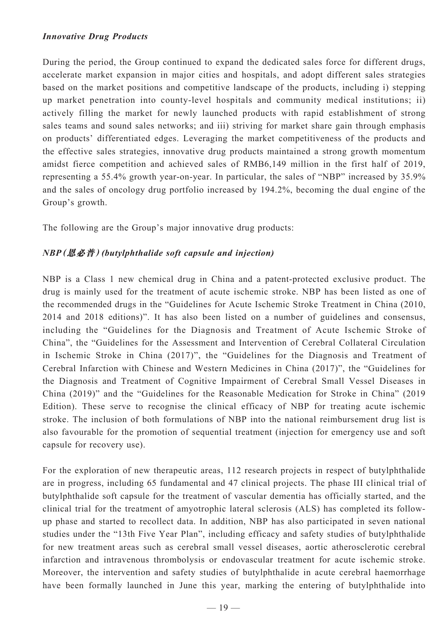## *Innovative Drug Products*

During the period, the Group continued to expand the dedicated sales force for different drugs, accelerate market expansion in major cities and hospitals, and adopt different sales strategies based on the market positions and competitive landscape of the products, including i) stepping up market penetration into county-level hospitals and community medical institutions; ii) actively filling the market for newly launched products with rapid establishment of strong sales teams and sound sales networks; and iii) striving for market share gain through emphasis on products' differentiated edges. Leveraging the market competitiveness of the products and the effective sales strategies, innovative drug products maintained a strong growth momentum amidst fierce competition and achieved sales of RMB6,149 million in the first half of 2019, representing a 55.4% growth year-on-year. In particular, the sales of "NBP" increased by 35.9% and the sales of oncology drug portfolio increased by 194.2%, becoming the dual engine of the Group's growth.

The following are the Group's major innovative drug products:

## *NBP***(恩必普)***(butylphthalide soft capsule and injection)*

NBP is a Class 1 new chemical drug in China and a patent-protected exclusive product. The drug is mainly used for the treatment of acute ischemic stroke. NBP has been listed as one of the recommended drugs in the "Guidelines for Acute Ischemic Stroke Treatment in China (2010, 2014 and 2018 editions)". It has also been listed on a number of guidelines and consensus, including the "Guidelines for the Diagnosis and Treatment of Acute Ischemic Stroke of China", the "Guidelines for the Assessment and Intervention of Cerebral Collateral Circulation in Ischemic Stroke in China (2017)", the "Guidelines for the Diagnosis and Treatment of Cerebral Infarction with Chinese and Western Medicines in China (2017)", the "Guidelines for the Diagnosis and Treatment of Cognitive Impairment of Cerebral Small Vessel Diseases in China (2019)" and the "Guidelines for the Reasonable Medication for Stroke in China" (2019 Edition). These serve to recognise the clinical efficacy of NBP for treating acute ischemic stroke. The inclusion of both formulations of NBP into the national reimbursement drug list is also favourable for the promotion of sequential treatment (injection for emergency use and soft capsule for recovery use).

For the exploration of new therapeutic areas, 112 research projects in respect of butylphthalide are in progress, including 65 fundamental and 47 clinical projects. The phase III clinical trial of butylphthalide soft capsule for the treatment of vascular dementia has officially started, and the clinical trial for the treatment of amyotrophic lateral sclerosis (ALS) has completed its followup phase and started to recollect data. In addition, NBP has also participated in seven national studies under the "13th Five Year Plan", including efficacy and safety studies of butylphthalide for new treatment areas such as cerebral small vessel diseases, aortic atherosclerotic cerebral infarction and intravenous thrombolysis or endovascular treatment for acute ischemic stroke. Moreover, the intervention and safety studies of butylphthalide in acute cerebral haemorrhage have been formally launched in June this year, marking the entering of butylphthalide into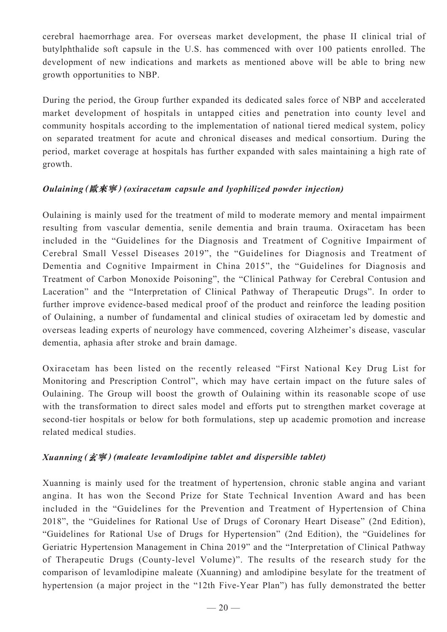cerebral haemorrhage area. For overseas market development, the phase II clinical trial of butylphthalide soft capsule in the U.S. has commenced with over 100 patients enrolled. The development of new indications and markets as mentioned above will be able to bring new growth opportunities to NBP.

During the period, the Group further expanded its dedicated sales force of NBP and accelerated market development of hospitals in untapped cities and penetration into county level and community hospitals according to the implementation of national tiered medical system, policy on separated treatment for acute and chronical diseases and medical consortium. During the period, market coverage at hospitals has further expanded with sales maintaining a high rate of growth.

## *Oulaining***(歐來寧)***(oxiracetam capsule and lyophilized powder injection)*

Oulaining is mainly used for the treatment of mild to moderate memory and mental impairment resulting from vascular dementia, senile dementia and brain trauma. Oxiracetam has been included in the "Guidelines for the Diagnosis and Treatment of Cognitive Impairment of Cerebral Small Vessel Diseases 2019", the "Guidelines for Diagnosis and Treatment of Dementia and Cognitive Impairment in China 2015", the "Guidelines for Diagnosis and Treatment of Carbon Monoxide Poisoning", the "Clinical Pathway for Cerebral Contusion and Laceration" and the "Interpretation of Clinical Pathway of Therapeutic Drugs". In order to further improve evidence-based medical proof of the product and reinforce the leading position of Oulaining, a number of fundamental and clinical studies of oxiracetam led by domestic and overseas leading experts of neurology have commenced, covering Alzheimer's disease, vascular dementia, aphasia after stroke and brain damage.

Oxiracetam has been listed on the recently released "First National Key Drug List for Monitoring and Prescription Control", which may have certain impact on the future sales of Oulaining. The Group will boost the growth of Oulaining within its reasonable scope of use with the transformation to direct sales model and efforts put to strengthen market coverage at second-tier hospitals or below for both formulations, step up academic promotion and increase related medical studies.

## *Xuanning***(玄寧)***(maleate levamlodipine tablet and dispersible tablet)*

Xuanning is mainly used for the treatment of hypertension, chronic stable angina and variant angina. It has won the Second Prize for State Technical Invention Award and has been included in the "Guidelines for the Prevention and Treatment of Hypertension of China 2018", the "Guidelines for Rational Use of Drugs of Coronary Heart Disease" (2nd Edition), "Guidelines for Rational Use of Drugs for Hypertension" (2nd Edition), the "Guidelines for Geriatric Hypertension Management in China 2019" and the "Interpretation of Clinical Pathway of Therapeutic Drugs (County-level Volume)". The results of the research study for the comparison of levamlodipine maleate (Xuanning) and amlodipine besylate for the treatment of hypertension (a major project in the "12th Five-Year Plan") has fully demonstrated the better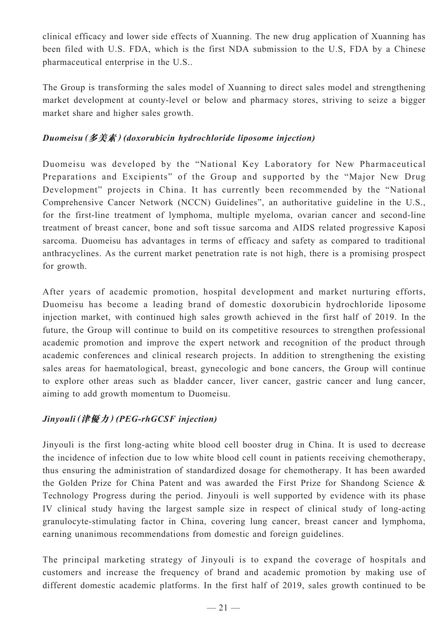clinical efficacy and lower side effects of Xuanning. The new drug application of Xuanning has been filed with U.S. FDA, which is the first NDA submission to the U.S, FDA by a Chinese pharmaceutical enterprise in the U.S..

The Group is transforming the sales model of Xuanning to direct sales model and strengthening market development at county-level or below and pharmacy stores, striving to seize a bigger market share and higher sales growth.

## *Duomeisu***(多美素)***(doxorubicin hydrochloride liposome injection)*

Duomeisu was developed by the "National Key Laboratory for New Pharmaceutical Preparations and Excipients" of the Group and supported by the "Major New Drug Development" projects in China. It has currently been recommended by the "National Comprehensive Cancer Network (NCCN) Guidelines", an authoritative guideline in the U.S., for the first-line treatment of lymphoma, multiple myeloma, ovarian cancer and second-line treatment of breast cancer, bone and soft tissue sarcoma and AIDS related progressive Kaposi sarcoma. Duomeisu has advantages in terms of efficacy and safety as compared to traditional anthracyclines. As the current market penetration rate is not high, there is a promising prospect for growth.

After years of academic promotion, hospital development and market nurturing efforts, Duomeisu has become a leading brand of domestic doxorubicin hydrochloride liposome injection market, with continued high sales growth achieved in the first half of 2019. In the future, the Group will continue to build on its competitive resources to strengthen professional academic promotion and improve the expert network and recognition of the product through academic conferences and clinical research projects. In addition to strengthening the existing sales areas for haematological, breast, gynecologic and bone cancers, the Group will continue to explore other areas such as bladder cancer, liver cancer, gastric cancer and lung cancer, aiming to add growth momentum to Duomeisu.

## *Jinyouli***(津優力)***(PEG-rhGCSF injection)*

Jinyouli is the first long-acting white blood cell booster drug in China. It is used to decrease the incidence of infection due to low white blood cell count in patients receiving chemotherapy, thus ensuring the administration of standardized dosage for chemotherapy. It has been awarded the Golden Prize for China Patent and was awarded the First Prize for Shandong Science & Technology Progress during the period. Jinyouli is well supported by evidence with its phase IV clinical study having the largest sample size in respect of clinical study of long-acting granulocyte-stimulating factor in China, covering lung cancer, breast cancer and lymphoma, earning unanimous recommendations from domestic and foreign guidelines.

The principal marketing strategy of Jinyouli is to expand the coverage of hospitals and customers and increase the frequency of brand and academic promotion by making use of different domestic academic platforms. In the first half of 2019, sales growth continued to be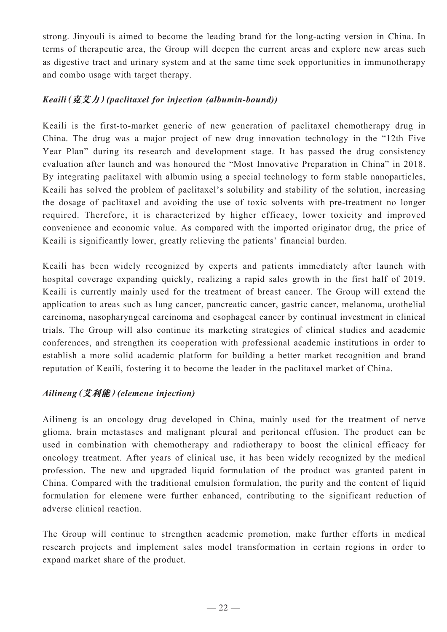strong. Jinyouli is aimed to become the leading brand for the long-acting version in China. In terms of therapeutic area, the Group will deepen the current areas and explore new areas such as digestive tract and urinary system and at the same time seek opportunities in immunotherapy and combo usage with target therapy.

## *Keaili***(克艾力)***(paclitaxel for injection (albumin-bound))*

Keaili is the first-to-market generic of new generation of paclitaxel chemotherapy drug in China. The drug was a major project of new drug innovation technology in the "12th Five Year Plan" during its research and development stage. It has passed the drug consistency evaluation after launch and was honoured the "Most Innovative Preparation in China" in 2018. By integrating paclitaxel with albumin using a special technology to form stable nanoparticles, Keaili has solved the problem of paclitaxel's solubility and stability of the solution, increasing the dosage of paclitaxel and avoiding the use of toxic solvents with pre-treatment no longer required. Therefore, it is characterized by higher efficacy, lower toxicity and improved convenience and economic value. As compared with the imported originator drug, the price of Keaili is significantly lower, greatly relieving the patients' financial burden.

Keaili has been widely recognized by experts and patients immediately after launch with hospital coverage expanding quickly, realizing a rapid sales growth in the first half of 2019. Keaili is currently mainly used for the treatment of breast cancer. The Group will extend the application to areas such as lung cancer, pancreatic cancer, gastric cancer, melanoma, urothelial carcinoma, nasopharyngeal carcinoma and esophageal cancer by continual investment in clinical trials. The Group will also continue its marketing strategies of clinical studies and academic conferences, and strengthen its cooperation with professional academic institutions in order to establish a more solid academic platform for building a better market recognition and brand reputation of Keaili, fostering it to become the leader in the paclitaxel market of China.

## *Ailineng***(艾利能)***(elemene injection)*

Ailineng is an oncology drug developed in China, mainly used for the treatment of nerve glioma, brain metastases and malignant pleural and peritoneal effusion. The product can be used in combination with chemotherapy and radiotherapy to boost the clinical efficacy for oncology treatment. After years of clinical use, it has been widely recognized by the medical profession. The new and upgraded liquid formulation of the product was granted patent in China. Compared with the traditional emulsion formulation, the purity and the content of liquid formulation for elemene were further enhanced, contributing to the significant reduction of adverse clinical reaction.

The Group will continue to strengthen academic promotion, make further efforts in medical research projects and implement sales model transformation in certain regions in order to expand market share of the product.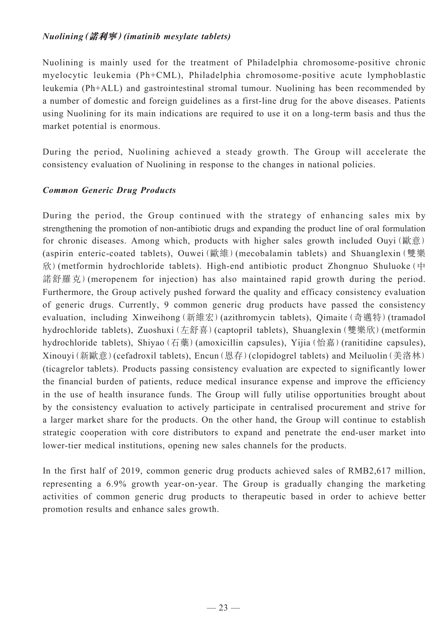## *Nuolining***(諾利寧)***(imatinib mesylate tablets)*

Nuolining is mainly used for the treatment of Philadelphia chromosome-positive chronic myelocytic leukemia (Ph+CML), Philadelphia chromosome-positive acute lymphoblastic leukemia (Ph+ALL) and gastrointestinal stromal tumour. Nuolining has been recommended by a number of domestic and foreign guidelines as a first-line drug for the above diseases. Patients using Nuolining for its main indications are required to use it on a long-term basis and thus the market potential is enormous.

During the period, Nuolining achieved a steady growth. The Group will accelerate the consistency evaluation of Nuolining in response to the changes in national policies.

## *Common Generic Drug Products*

During the period, the Group continued with the strategy of enhancing sales mix by strengthening the promotion of non-antibiotic drugs and expanding the product line of oral formulation for chronic diseases. Among which, products with higher sales growth included Ouyi(歐意) (aspirin enteric-coated tablets), Ouwei(歐維)(mecobalamin tablets) and Shuanglexin(雙樂 欣)(metformin hydrochloride tablets). High-end antibiotic product Zhongnuo Shuluoke(中 諾舒羅克)(meropenem for injection) has also maintained rapid growth during the period. Furthermore, the Group actively pushed forward the quality and efficacy consistency evaluation of generic drugs. Currently, 9 common generic drug products have passed the consistency evaluation, including Xinweihong(新維宏)(azithromycin tablets), Qimaite(奇邁特)(tramadol hydrochloride tablets), Zuoshuxi(左舒喜)(captopril tablets), Shuanglexin(雙樂欣)(metformin hydrochloride tablets), Shiyao(石藥)(amoxicillin capsules), Yijia(怡嘉)(ranitidine capsules), Xinouyi(新歐意)(cefadroxil tablets), Encun(恩存)(clopidogrel tablets) and Meiluolin(美洛林) (ticagrelor tablets). Products passing consistency evaluation are expected to significantly lower the financial burden of patients, reduce medical insurance expense and improve the efficiency in the use of health insurance funds. The Group will fully utilise opportunities brought about by the consistency evaluation to actively participate in centralised procurement and strive for a larger market share for the products. On the other hand, the Group will continue to establish strategic cooperation with core distributors to expand and penetrate the end-user market into lower-tier medical institutions, opening new sales channels for the products.

In the first half of 2019, common generic drug products achieved sales of RMB2,617 million, representing a 6.9% growth year-on-year. The Group is gradually changing the marketing activities of common generic drug products to therapeutic based in order to achieve better promotion results and enhance sales growth.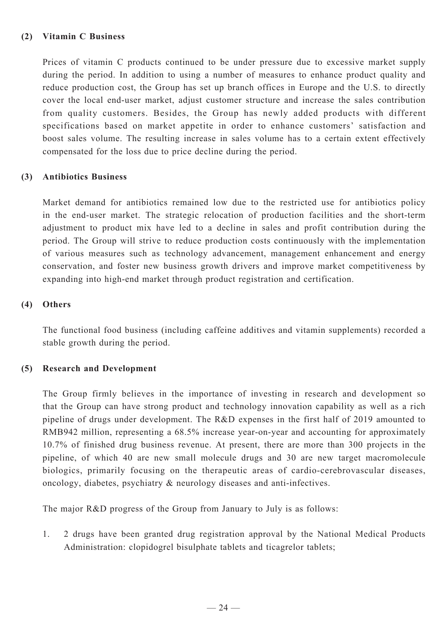## **(2) Vitamin C Business**

Prices of vitamin C products continued to be under pressure due to excessive market supply during the period. In addition to using a number of measures to enhance product quality and reduce production cost, the Group has set up branch offices in Europe and the U.S. to directly cover the local end-user market, adjust customer structure and increase the sales contribution from quality customers. Besides, the Group has newly added products with different specifications based on market appetite in order to enhance customers' satisfaction and boost sales volume. The resulting increase in sales volume has to a certain extent effectively compensated for the loss due to price decline during the period.

## **(3) Antibiotics Business**

Market demand for antibiotics remained low due to the restricted use for antibiotics policy in the end-user market. The strategic relocation of production facilities and the short-term adjustment to product mix have led to a decline in sales and profit contribution during the period. The Group will strive to reduce production costs continuously with the implementation of various measures such as technology advancement, management enhancement and energy conservation, and foster new business growth drivers and improve market competitiveness by expanding into high-end market through product registration and certification.

### **(4) Others**

The functional food business (including caffeine additives and vitamin supplements) recorded a stable growth during the period.

## **(5) Research and Development**

The Group firmly believes in the importance of investing in research and development so that the Group can have strong product and technology innovation capability as well as a rich pipeline of drugs under development. The R&D expenses in the first half of 2019 amounted to RMB942 million, representing a 68.5% increase year-on-year and accounting for approximately 10.7% of finished drug business revenue. At present, there are more than 300 projects in the pipeline, of which 40 are new small molecule drugs and 30 are new target macromolecule biologics, primarily focusing on the therapeutic areas of cardio-cerebrovascular diseases, oncology, diabetes, psychiatry & neurology diseases and anti-infectives.

The major R&D progress of the Group from January to July is as follows:

1. 2 drugs have been granted drug registration approval by the National Medical Products Administration: clopidogrel bisulphate tablets and ticagrelor tablets;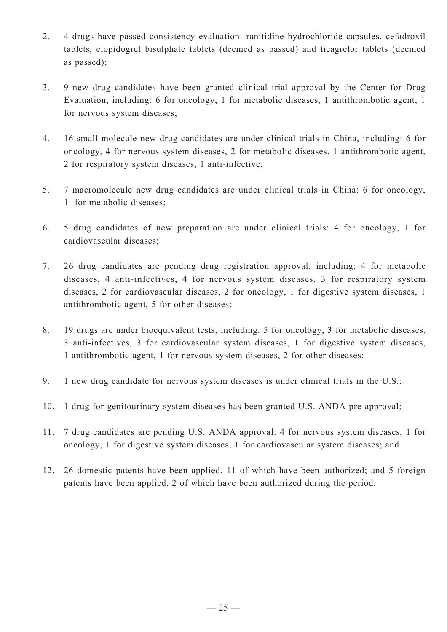- 2. 4 drugs have passed consistency evaluation: ranitidine hydrochloride capsules, cefadroxil tablets, clopidogrel bisulphate tablets (deemed as passed) and ticagrelor tablets (deemed as passed);
- 3. 9 new drug candidates have been granted clinical trial approval by the Center for Drug Evaluation, including: 6 for oncology, 1 for metabolic diseases, 1 antithrombotic agent, 1 for nervous system diseases;
- 4. 16 small molecule new drug candidates are under clinical trials in China, including: 6 for oncology, 4 for nervous system diseases, 2 for metabolic diseases, 1 antithrombotic agent, 2 for respiratory system diseases, 1 anti-infective;
- 5. 7 macromolecule new drug candidates are under clinical trials in China: 6 for oncology, 1 for metabolic diseases;
- 6. 5 drug candidates of new preparation are under clinical trials: 4 for oncology, 1 for cardiovascular diseases;
- 7. 26 drug candidates are pending drug registration approval, including: 4 for metabolic diseases, 4 anti-infectives, 4 for nervous system diseases, 3 for respiratory system diseases, 2 for cardiovascular diseases, 2 for oncology, 1 for digestive system diseases, 1 antithrombotic agent, 5 for other diseases;
- 8. 19 drugs are under bioequivalent tests, including: 5 for oncology, 3 for metabolic diseases, 3 anti-infectives, 3 for cardiovascular system diseases, 1 for digestive system diseases, 1 antithrombotic agent, 1 for nervous system diseases, 2 for other diseases;
- 9. 1 new drug candidate for nervous system diseases is under clinical trials in the U.S.;
- 10. 1 drug for genitourinary system diseases has been granted U.S. ANDA pre-approval;
- 11. 7 drug candidates are pending U.S. ANDA approval: 4 for nervous system diseases, 1 for oncology, 1 for digestive system diseases, 1 for cardiovascular system diseases; and
- 12. 26 domestic patents have been applied, 11 of which have been authorized; and 5 foreign patents have been applied, 2 of which have been authorized during the period.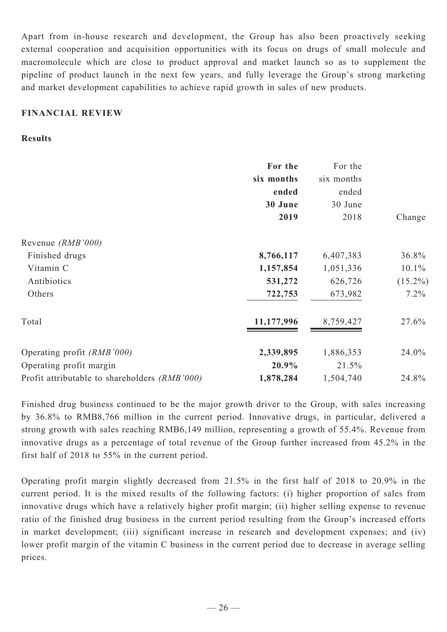Apart from in-house research and development, the Group has also been proactively seeking external cooperation and acquisition opportunities with its focus on drugs of small molecule and macromolecule which are close to product approval and market launch so as to supplement the pipeline of product launch in the next few years, and fully leverage the Group's strong marketing and market development capabilities to achieve rapid growth in sales of new products.

## **FINANCIAL REVIEW**

### **Results**

|                                               | For the    | For the    |            |
|-----------------------------------------------|------------|------------|------------|
|                                               | six months | six months |            |
|                                               | ended      | ended      |            |
|                                               | 30 June    | 30 June    |            |
|                                               | 2019       | 2018       | Change     |
| Revenue (RMB'000)                             |            |            |            |
| Finished drugs                                | 8,766,117  | 6,407,383  | 36.8%      |
| Vitamin C                                     | 1,157,854  | 1,051,336  | $10.1\%$   |
| Antibiotics                                   | 531,272    | 626,726    | $(15.2\%)$ |
| Others                                        | 722,753    | 673,982    | $7.2\%$    |
| Total                                         | 11,177,996 | 8,759,427  | 27.6%      |
| Operating profit (RMB'000)                    | 2,339,895  | 1,886,353  | 24.0%      |
| Operating profit margin                       | 20.9%      | 21.5%      |            |
| Profit attributable to shareholders (RMB'000) | 1,878,284  | 1,504,740  | 24.8%      |

Finished drug business continued to be the major growth driver to the Group, with sales increasing by 36.8% to RMB8,766 million in the current period. Innovative drugs, in particular, delivered a strong growth with sales reaching RMB6,149 million, representing a growth of 55.4%. Revenue from innovative drugs as a percentage of total revenue of the Group further increased from 45.2% in the first half of 2018 to 55% in the current period.

Operating profit margin slightly decreased from 21.5% in the first half of 2018 to 20.9% in the current period. It is the mixed results of the following factors: (i) higher proportion of sales from innovative drugs which have a relatively higher profit margin; (ii) higher selling expense to revenue ratio of the finished drug business in the current period resulting from the Group's increased efforts in market development; (iii) significant increase in research and development expenses; and (iv) lower profit margin of the vitamin C business in the current period due to decrease in average selling prices.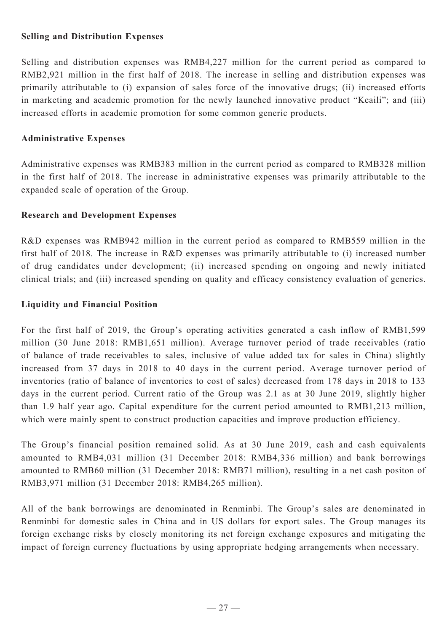## **Selling and Distribution Expenses**

Selling and distribution expenses was RMB4,227 million for the current period as compared to RMB2,921 million in the first half of 2018. The increase in selling and distribution expenses was primarily attributable to (i) expansion of sales force of the innovative drugs; (ii) increased efforts in marketing and academic promotion for the newly launched innovative product "Keaili"; and (iii) increased efforts in academic promotion for some common generic products.

## **Administrative Expenses**

Administrative expenses was RMB383 million in the current period as compared to RMB328 million in the first half of 2018. The increase in administrative expenses was primarily attributable to the expanded scale of operation of the Group.

## **Research and Development Expenses**

R&D expenses was RMB942 million in the current period as compared to RMB559 million in the first half of 2018. The increase in R&D expenses was primarily attributable to (i) increased number of drug candidates under development; (ii) increased spending on ongoing and newly initiated clinical trials; and (iii) increased spending on quality and efficacy consistency evaluation of generics.

### **Liquidity and Financial Position**

For the first half of 2019, the Group's operating activities generated a cash inflow of RMB1,599 million (30 June 2018: RMB1,651 million). Average turnover period of trade receivables (ratio of balance of trade receivables to sales, inclusive of value added tax for sales in China) slightly increased from 37 days in 2018 to 40 days in the current period. Average turnover period of inventories (ratio of balance of inventories to cost of sales) decreased from 178 days in 2018 to 133 days in the current period. Current ratio of the Group was 2.1 as at 30 June 2019, slightly higher than 1.9 half year ago. Capital expenditure for the current period amounted to RMB1,213 million, which were mainly spent to construct production capacities and improve production efficiency.

The Group's financial position remained solid. As at 30 June 2019, cash and cash equivalents amounted to RMB4,031 million (31 December 2018: RMB4,336 million) and bank borrowings amounted to RMB60 million (31 December 2018: RMB71 million), resulting in a net cash positon of RMB3,971 million (31 December 2018: RMB4,265 million).

All of the bank borrowings are denominated in Renminbi. The Group's sales are denominated in Renminbi for domestic sales in China and in US dollars for export sales. The Group manages its foreign exchange risks by closely monitoring its net foreign exchange exposures and mitigating the impact of foreign currency fluctuations by using appropriate hedging arrangements when necessary.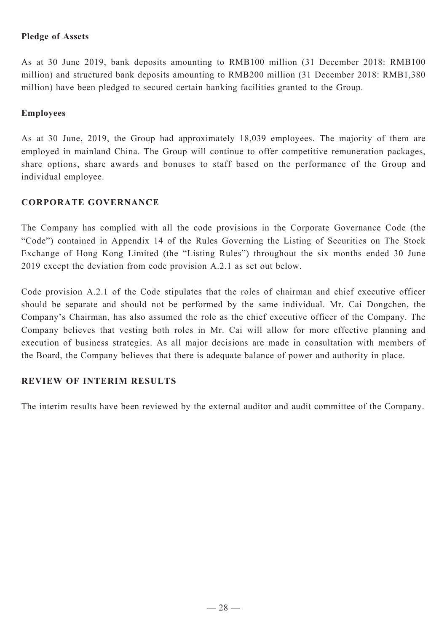## **Pledge of Assets**

As at 30 June 2019, bank deposits amounting to RMB100 million (31 December 2018: RMB100 million) and structured bank deposits amounting to RMB200 million (31 December 2018: RMB1,380 million) have been pledged to secured certain banking facilities granted to the Group.

## **Employees**

As at 30 June, 2019, the Group had approximately 18,039 employees. The majority of them are employed in mainland China. The Group will continue to offer competitive remuneration packages, share options, share awards and bonuses to staff based on the performance of the Group and individual employee.

## **CORPORATE GOVERNANCE**

The Company has complied with all the code provisions in the Corporate Governance Code (the "Code") contained in Appendix 14 of the Rules Governing the Listing of Securities on The Stock Exchange of Hong Kong Limited (the "Listing Rules") throughout the six months ended 30 June 2019 except the deviation from code provision A.2.1 as set out below.

Code provision A.2.1 of the Code stipulates that the roles of chairman and chief executive officer should be separate and should not be performed by the same individual. Mr. Cai Dongchen, the Company's Chairman, has also assumed the role as the chief executive officer of the Company. The Company believes that vesting both roles in Mr. Cai will allow for more effective planning and execution of business strategies. As all major decisions are made in consultation with members of the Board, the Company believes that there is adequate balance of power and authority in place.

## **REVIEW OF INTERIM RESULTS**

The interim results have been reviewed by the external auditor and audit committee of the Company.